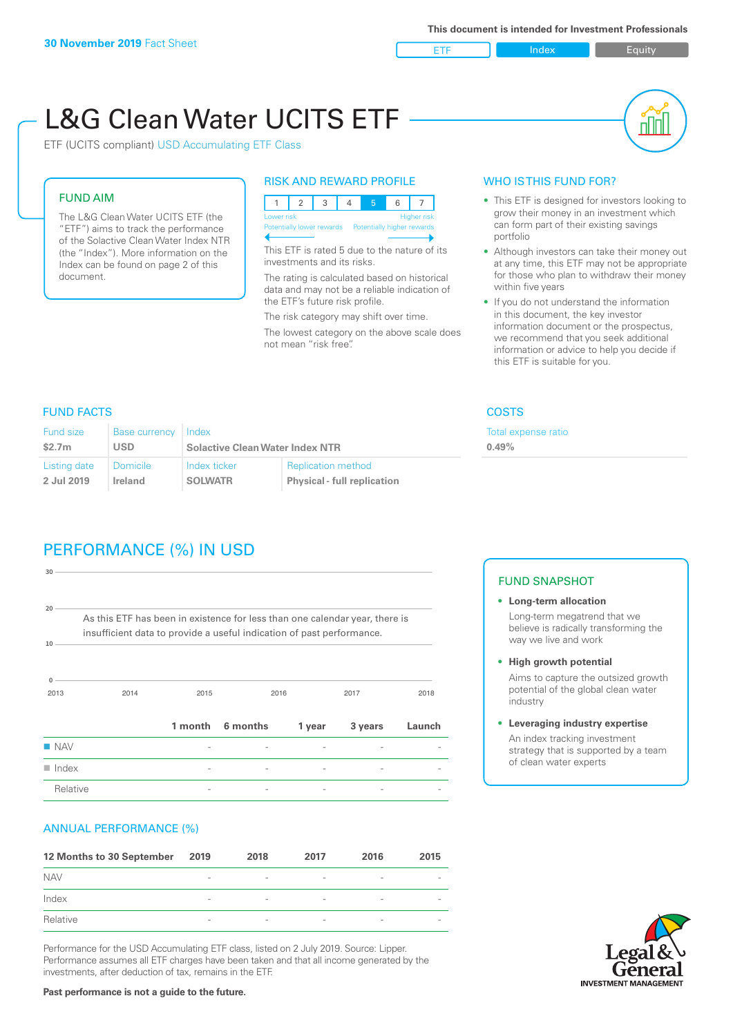ETF Index Builty

# L&G Clean Water UCITS ETF

ETF (UCITS compliant) USD Accumulating ETF Class

# FUND AIM

The L&G Clean Water UCITS ETF (the "ETF") aims to track the performance of the Solactive Clean Water Index NTR (the "Index"). More information on the Index can be found on page 2 of this document.

# RISK AND REWARD PROFILE

|  | Lower risk<br><b>Higher risk</b>                     |  |  |  |  |  |  |  |
|--|------------------------------------------------------|--|--|--|--|--|--|--|
|  | Potentially lower rewards Potentially higher rewards |  |  |  |  |  |  |  |
|  |                                                      |  |  |  |  |  |  |  |

This ETF is rated 5 due to the nature of its investments and its risks.

The rating is calculated based on historical data and may not be a reliable indication of the ETF's future risk profile.

The risk category may shift over time. The lowest category on the above scale does not mean "risk free".

# WHO IS THIS FUND FOR?

- This ETF is designed for investors looking to grow their money in an investment which can form part of their existing savings portfolio
- Although investors can take their money out at any time, this ETF may not be appropriate for those who plan to withdraw their money within five years
- If you do not understand the information in this document, the key investor information document or the prospectus, we recommend that you seek additional information or advice to help you decide if this ETF is suitable for you.

xpense ratio

# FUND FACTS COSTS

| <b>Fund size</b> | Base currency Index |                                        |                                    | Total e: |
|------------------|---------------------|----------------------------------------|------------------------------------|----------|
| \$2.7m           | <b>USD</b>          | <b>Solactive Clean Water Index NTR</b> | 0.49%                              |          |
| Listing date     | Domicile            | Index ticker                           | <b>Replication method</b>          |          |
| 2 Jul 2019       | Ireland             | <b>SOLWATR</b>                         | <b>Physical - full replication</b> |          |

# PERFORMANCE (%) IN USD

| $30 -$                    |                                                                                                                                                      |      |                  |        |         |        |
|---------------------------|------------------------------------------------------------------------------------------------------------------------------------------------------|------|------------------|--------|---------|--------|
| 20 <sup>1</sup><br>$10 -$ | As this ETF has been in existence for less than one calendar year, there is<br>insufficient data to provide a useful indication of past performance. |      |                  |        |         |        |
| 0<br>2013                 | 2014                                                                                                                                                 | 2015 |                  | 2016   | 2017    | 2018   |
|                           |                                                                                                                                                      |      | 1 month 6 months | 1 year | 3 years | Launch |
| $\blacksquare$ NAV        |                                                                                                                                                      |      |                  |        |         |        |
| $\blacksquare$ Index      |                                                                                                                                                      |      |                  |        |         |        |
| Relative                  |                                                                                                                                                      |      |                  |        |         |        |

# ANNUAL PERFORMANCE (%)

| 12 Months to 30 September | 2019                     | 2018                     | 2017                     | 2016                     | 2015                     |
|---------------------------|--------------------------|--------------------------|--------------------------|--------------------------|--------------------------|
| <b>NAV</b>                | $\qquad \qquad$          | $\overline{\phantom{a}}$ | $\overline{\phantom{a}}$ | $\overline{\phantom{a}}$ | $\overline{\phantom{a}}$ |
| Index                     | $\qquad \qquad$          | $\overline{\phantom{a}}$ | $\overline{\phantom{a}}$ | $\overline{a}$           | $\overline{\phantom{a}}$ |
| Relative                  | $\overline{\phantom{a}}$ | $\overline{\phantom{a}}$ | $\overline{\phantom{a}}$ | $\sim$                   | $\overline{\phantom{a}}$ |

Performance for the USD Accumulating ETF class, listed on 2 July 2019. Source: Lipper. Performance assumes all ETF charges have been taken and that all income generated by the investments, after deduction of tax, remains in the ETF.

# FUND SNAPSHOT

- **• Long-term allocation** Long-term megatrend that we believe is radically transforming the way we live and work
- **• High growth potential** Aims to capture the outsized growth

potential of the global clean water industry

**• Leveraging industry expertise**

An index tracking investment strategy that is supported by a team of clean water experts

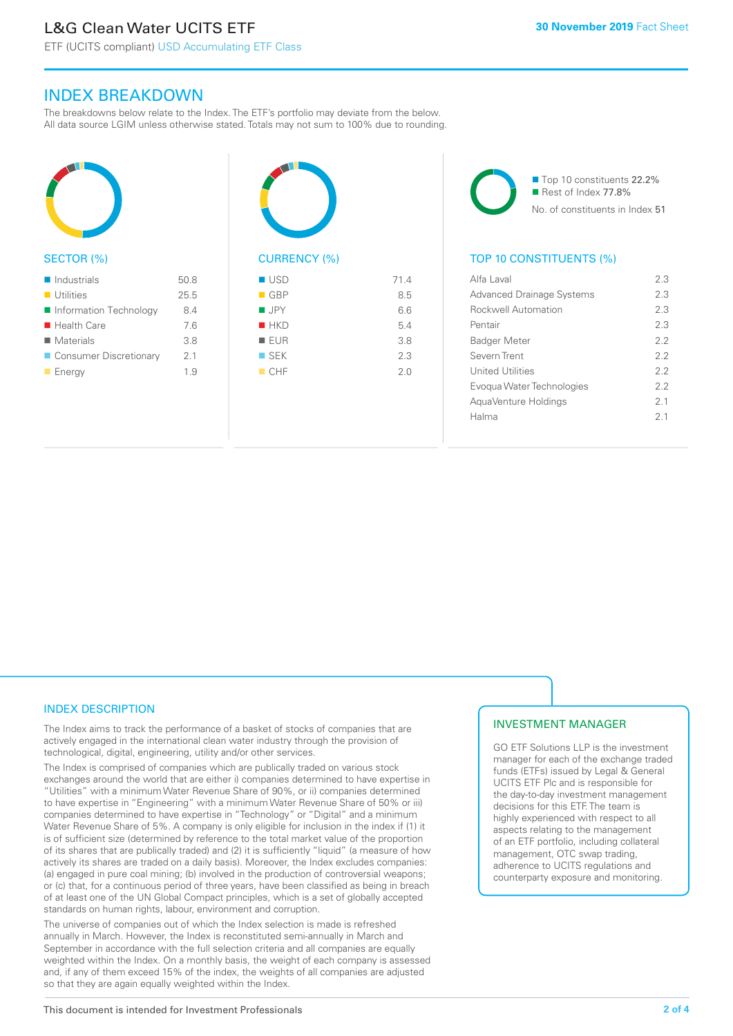ETF (UCITS compliant) USD Accumulating ETF Class

# INDEX BREAKDOWN

The breakdowns below relate to the Index. The ETF's portfolio may deviate from the below. All data source LGIM unless otherwise stated. Totals may not sum to 100% due to rounding.



# SECTOR (%)

| $\blacksquare$ Industrials | 50.8 |
|----------------------------|------|
| $\blacksquare$ Utilities   | 25.5 |
| Information Technology     | 8.4  |
| $\blacksquare$ Health Care | 7.6  |
| $\blacksquare$ Materials   | 3.8  |
| ■ Consumer Discretionary   | 21   |
| $\blacksquare$ Energy      | 19   |



| $\blacksquare$ GBP | 8.5 |
|--------------------|-----|
| $\blacksquare$ JPY | 6.6 |
| $H$ HKD            | 5.4 |
| EUR                | 3.8 |
| $\blacksquare$ SEK | 2.3 |
| CHF                | 2.0 |
|                    |     |

■ Top 10 constituents 22.2% Rest of Index 77.8% No. of constituents in Index 51

# TOP 10 CONSTITUENTS (%)

| Alfa Laval                       | 23             |
|----------------------------------|----------------|
| <b>Advanced Drainage Systems</b> | 23             |
| <b>Rockwell Automation</b>       | 23             |
| Pentair                          | 23             |
| <b>Badger Meter</b>              | 22             |
| Severn Trent                     | 22             |
| <b>United Utilities</b>          | 22             |
| Evogua Water Technologies        | 22             |
| AquaVenture Holdings             | 2 <sub>1</sub> |
| Halma                            | 2 <sub>1</sub> |
|                                  |                |

# INDEX DESCRIPTION

The Index aims to track the performance of a basket of stocks of companies that are actively engaged in the international clean water industry through the provision of technological, digital, engineering, utility and/or other services.

The Index is comprised of companies which are publically traded on various stock exchanges around the world that are either i) companies determined to have expertise in "Utilities" with a minimum Water Revenue Share of 90%, or ii) companies determined to have expertise in "Engineering" with a minimum Water Revenue Share of 50% or iii) companies determined to have expertise in "Technology" or "Digital" and a minimum Water Revenue Share of 5%. A company is only eligible for inclusion in the index if (1) it is of sufficient size (determined by reference to the total market value of the proportion of its shares that are publically traded) and (2) it is sufficiently "liquid" (a measure of how actively its shares are traded on a daily basis). Moreover, the Index excludes companies: (a) engaged in pure coal mining; (b) involved in the production of controversial weapons; or (c) that, for a continuous period of three years, have been classified as being in breach of at least one of the UN Global Compact principles, which is a set of globally accepted standards on human rights, labour, environment and corruption.

The universe of companies out of which the Index selection is made is refreshed annually in March. However, the Index is reconstituted semi-annually in March and September in accordance with the full selection criteria and all companies are equally weighted within the Index. On a monthly basis, the weight of each company is assessed and, if any of them exceed 15% of the index, the weights of all companies are adjusted so that they are again equally weighted within the Index.

# INVESTMENT MANAGER

GO ETF Solutions LLP is the investment manager for each of the exchange traded funds (ETFs) issued by Legal & General UCITS ETF Plc and is responsible for the day-to-day investment management decisions for this ETF. The team is highly experienced with respect to all aspects relating to the management of an ETF portfolio, including collateral management, OTC swap trading, adherence to UCITS regulations and counterparty exposure and monitoring.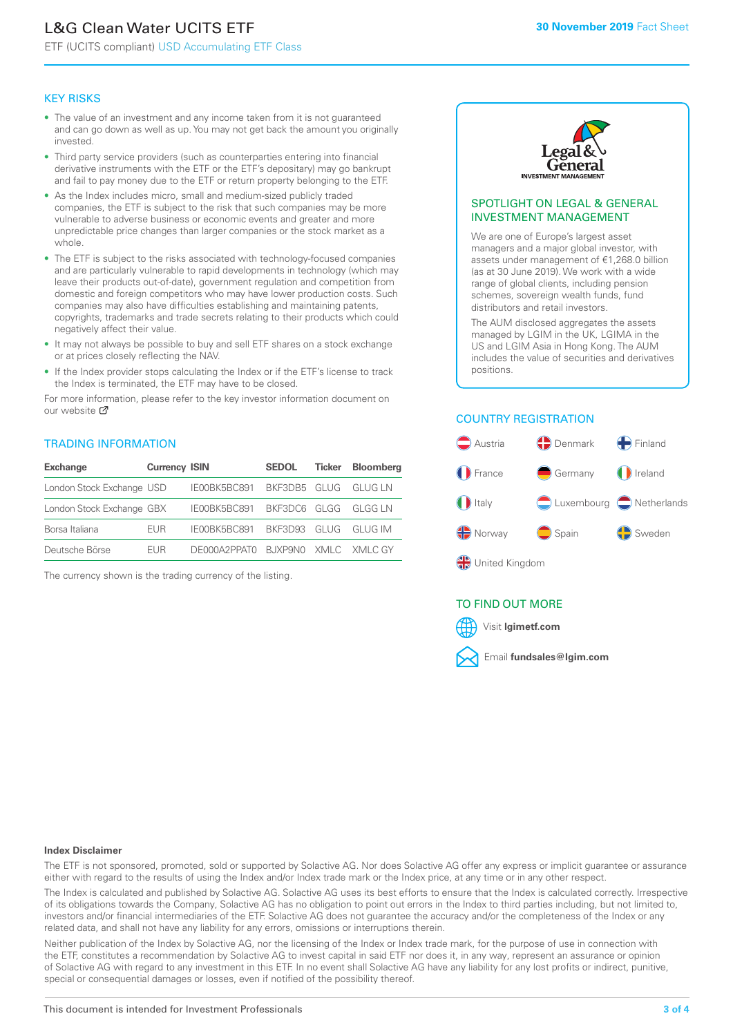# L&G Clean Water UCITS ETF

ETF (UCITS compliant) USD Accumulating ETF Class

#### KEY RISKS

- The value of an investment and any income taken from it is not guaranteed and can go down as well as up. You may not get back the amount you originally invested.
- Third party service providers (such as counterparties entering into financial derivative instruments with the ETF or the ETF's depositary) may go bankrupt and fail to pay money due to the ETF or return property belonging to the ETF.
- As the Index includes micro, small and medium-sized publicly traded companies, the ETF is subject to the risk that such companies may be more vulnerable to adverse business or economic events and greater and more unpredictable price changes than larger companies or the stock market as a whole.
- The ETF is subject to the risks associated with technology-focused companies and are particularly vulnerable to rapid developments in technology (which may leave their products out-of-date), government regulation and competition from domestic and foreign competitors who may have lower production costs. Such companies may also have difficulties establishing and maintaining patents, copyrights, trademarks and trade secrets relating to their products which could negatively affect their value.
- It may not always be possible to buy and sell ETF shares on a stock exchange or at prices closely reflecting the NAV.
- If the Index provider stops calculating the Index or if the ETF's license to track the Index is terminated, the ETF may have to be closed.

For more information, please refer to the key investor information document on our website Ø

## TRADING INFORMATION

| Exchange                  | <b>Currency ISIN</b> |                                   | <b>SEDOL</b>        | Ticker | <b>Bloomberg</b> |
|---------------------------|----------------------|-----------------------------------|---------------------|--------|------------------|
| London Stock Exchange USD |                      | IE00BK5BC891                      | BKF3DB5 GLUG GLUGLN |        |                  |
| London Stock Exchange GBX |                      | IE00BK5BC891 BKF3DC6 GLGG GLGG LN |                     |        |                  |
| Borsa Italiana            | <b>FUR</b>           | IE00BK5BC891 BKF3D93 GLUG GLUG IM |                     |        |                  |
| Deutsche Börse            | <b>FUR</b>           | DE000A2PPATO BJXP9NO XMLC XMLCGY  |                     |        |                  |

The currency shown is the trading currency of the listing.



#### SPOTLIGHT ON LEGAL & GENERAL INVESTMENT MANAGEMENT

We are one of Europe's largest asset managers and a major global investor, with assets under management of €1,268.0 billion (as at 30 June 2019). We work with a wide range of global clients, including pension schemes, sovereign wealth funds, fund distributors and retail investors.

The AUM disclosed aggregates the assets managed by LGIM in the UK, LGIMA in the US and LGIM Asia in Hong Kong. The AUM includes the value of securities and derivatives positions.

## COUNTRY REGISTRATION



# TO FIND OUT MORE



#### **Index Disclaimer**

The ETF is not sponsored, promoted, sold or supported by Solactive AG. Nor does Solactive AG offer any express or implicit guarantee or assurance either with regard to the results of using the Index and/or Index trade mark or the Index price, at any time or in any other respect.

The Index is calculated and published by Solactive AG. Solactive AG uses its best efforts to ensure that the Index is calculated correctly. Irrespective of its obligations towards the Company, Solactive AG has no obligation to point out errors in the Index to third parties including, but not limited to, investors and/or financial intermediaries of the ETF. Solactive AG does not guarantee the accuracy and/or the completeness of the Index or any related data, and shall not have any liability for any errors, omissions or interruptions therein.

Neither publication of the Index by Solactive AG, nor the licensing of the Index or Index trade mark, for the purpose of use in connection with the ETF, constitutes a recommendation by Solactive AG to invest capital in said ETF nor does it, in any way, represent an assurance or opinion of Solactive AG with regard to any investment in this ETF. In no event shall Solactive AG have any liability for any lost profits or indirect, punitive, special or consequential damages or losses, even if notified of the possibility thereof.